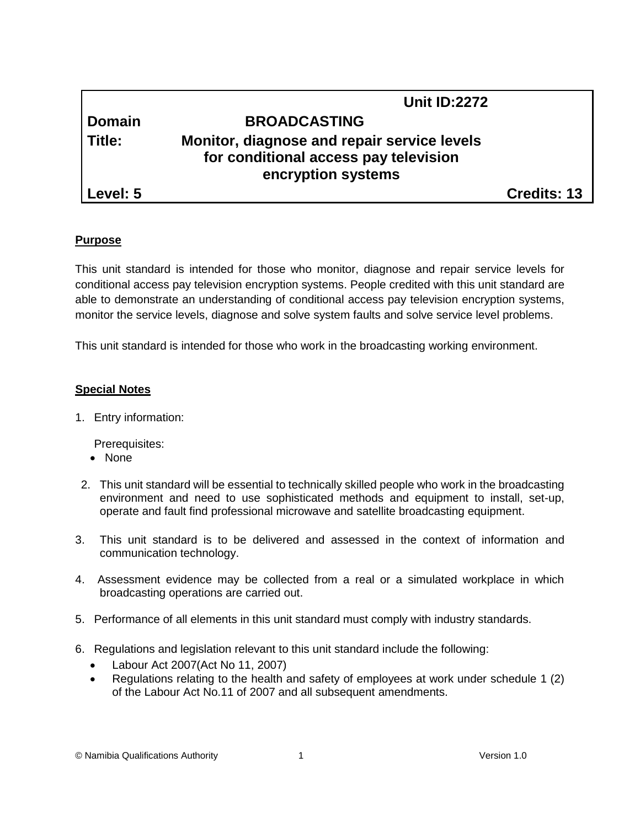|          | <b>Unit ID:2272</b>                                                                                        |                    |
|----------|------------------------------------------------------------------------------------------------------------|--------------------|
| Domain   | <b>BROADCASTING</b>                                                                                        |                    |
| Title:   | Monitor, diagnose and repair service levels<br>for conditional access pay television<br>encryption systems |                    |
| Level: 5 |                                                                                                            | <b>Credits: 13</b> |

## **Purpose**

This unit standard is intended for those who monitor, diagnose and repair service levels for conditional access pay television encryption systems. People credited with this unit standard are able to demonstrate an understanding of conditional access pay television encryption systems, monitor the service levels, diagnose and solve system faults and solve service level problems.

This unit standard is intended for those who work in the broadcasting working environment.

## **Special Notes**

1. Entry information:

Prerequisites:

- None
- 2. This unit standard will be essential to technically skilled people who work in the broadcasting environment and need to use sophisticated methods and equipment to install, set-up, operate and fault find professional microwave and satellite broadcasting equipment.
- 3. This unit standard is to be delivered and assessed in the context of information and communication technology.
- 4. Assessment evidence may be collected from a real or a simulated workplace in which broadcasting operations are carried out.
- 5. Performance of all elements in this unit standard must comply with industry standards.
- 6. Regulations and legislation relevant to this unit standard include the following:
	- Labour Act 2007(Act No 11, 2007)
	- Regulations relating to the health and safety of employees at work under schedule 1 (2) of the Labour Act No.11 of 2007 and all subsequent amendments.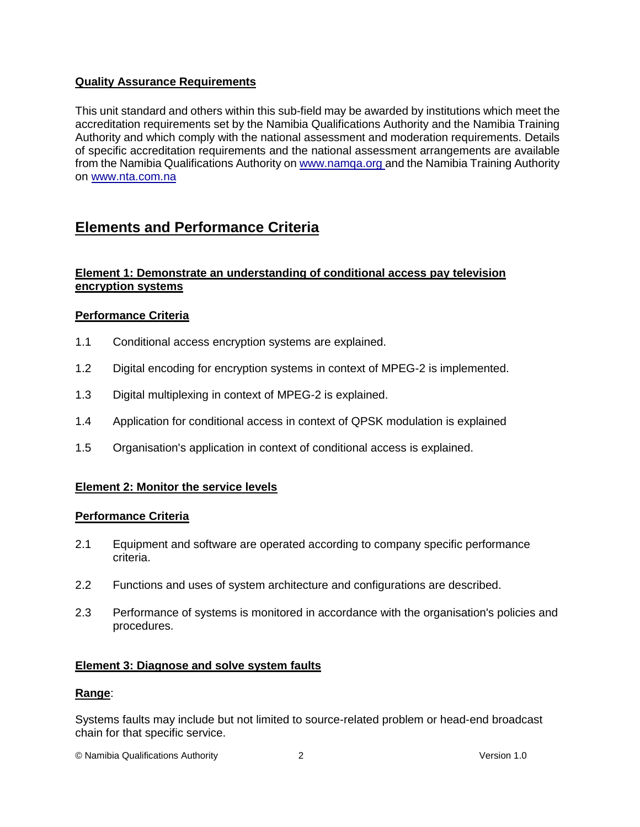## **Quality Assurance Requirements**

This unit standard and others within this sub-field may be awarded by institutions which meet the accreditation requirements set by the Namibia Qualifications Authority and the Namibia Training Authority and which comply with the national assessment and moderation requirements. Details of specific accreditation requirements and the national assessment arrangements are available from the Namibia Qualifications Authority o[n www.namqa.org a](http://www.namqa.org/)nd the Namibia Training Authority on [www.nta.com.na](http://www.nta.com.na/)

# **Elements and Performance Criteria**

## **Element 1: Demonstrate an understanding of conditional access pay television encryption systems**

## **Performance Criteria**

- 1.1 Conditional access encryption systems are explained.
- 1.2 Digital encoding for encryption systems in context of MPEG-2 is implemented.
- 1.3 Digital multiplexing in context of MPEG-2 is explained.
- 1.4 Application for conditional access in context of QPSK modulation is explained
- 1.5 Organisation's application in context of conditional access is explained.

## **Element 2: Monitor the service levels**

#### **Performance Criteria**

- 2.1 Equipment and software are operated according to company specific performance criteria.
- 2.2 Functions and uses of system architecture and configurations are described.
- 2.3 Performance of systems is monitored in accordance with the organisation's policies and procedures.

#### **Element 3: Diagnose and solve system faults**

#### **Range**:

Systems faults may include but not limited to source-related problem or head-end broadcast chain for that specific service.

© Namibia Qualifications Authority 2 Version 1.0